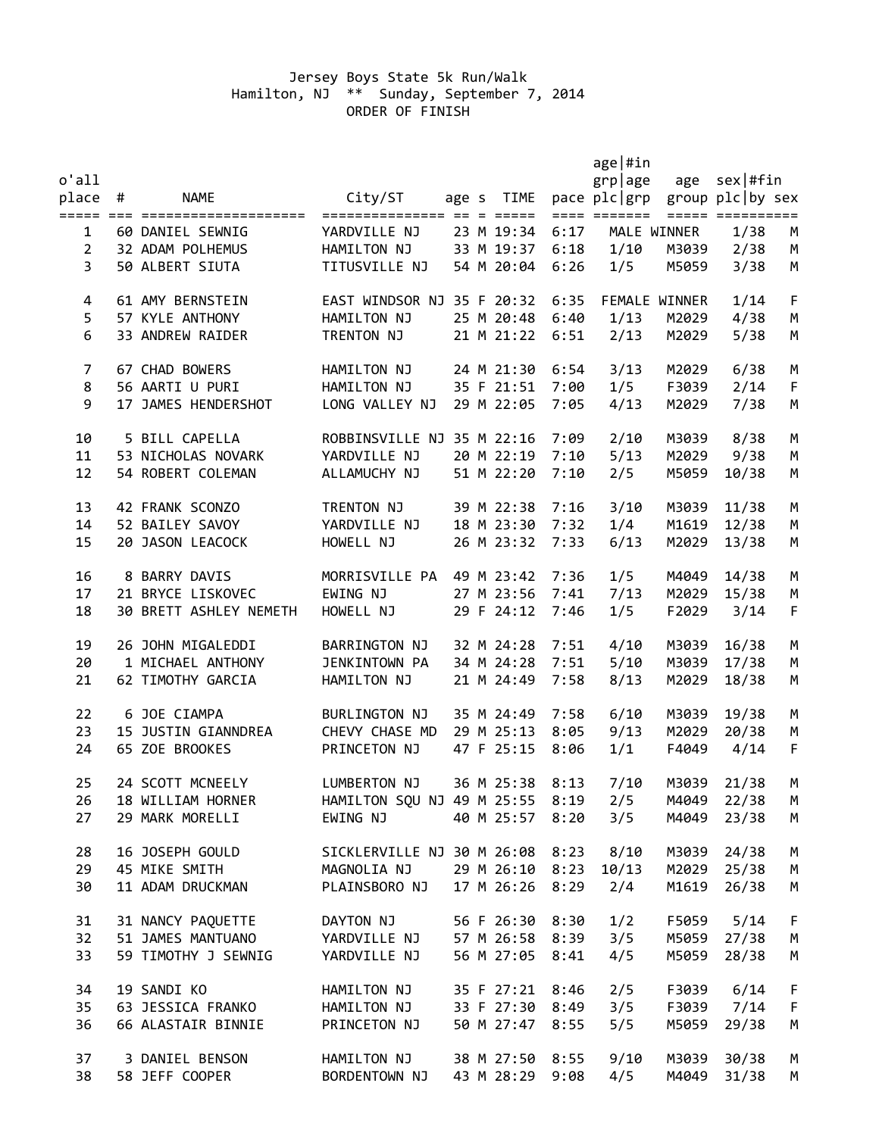## Jersey Boys State 5k Run/Walk Hamilton, NJ \*\* Sunday, September 7, 2014 ORDER OF FINISH

|                |                        |                                      |  |                 |      | $age $ #in                    |               |                  |             |
|----------------|------------------------|--------------------------------------|--|-----------------|------|-------------------------------|---------------|------------------|-------------|
| $o$ 'all       |                        |                                      |  |                 |      | grplage                       |               | age $sex #fin$   |             |
| place #        | <b>NAME</b>            | City/ST                              |  | age s TIME      |      | pace plc grp group plc by sex |               |                  |             |
|                |                        |                                      |  |                 |      | ==== =======                  |               | ===== ========== |             |
| 1              | 60 DANIEL SEWNIG       | YARDVILLE NJ                         |  | 23 M 19:34      | 6:17 |                               | MALE WINNER   | 1/38             | M           |
| $\overline{2}$ | 32 ADAM POLHEMUS       | HAMILTON NJ                          |  | 33 M 19:37      | 6:18 | 1/10                          | M3039         | 2/38             | M           |
| $\overline{3}$ | 50 ALBERT SIUTA        | TITUSVILLE NJ                        |  | 54 M 20:04      | 6:26 | 1/5                           | M5059         | 3/38             | M           |
| 4              | 61 AMY BERNSTEIN       | EAST WINDSOR NJ 35 F 20:32           |  |                 | 6:35 |                               | FEMALE WINNER | 1/14             | F           |
| 5              | 57 KYLE ANTHONY        | HAMILTON NJ                          |  | 25 M 20:48      | 6:40 | 1/13                          | M2029         | 4/38             | M           |
| 6              | 33 ANDREW RAIDER       | TRENTON NJ                           |  | 21 M 21:22      | 6:51 | 2/13                          | M2029         | 5/38             | M           |
| 7              | 67 CHAD BOWERS         | HAMILTON NJ                          |  | 24 M 21:30      | 6:54 | 3/13                          | M2029         | 6/38             | M           |
| 8              | 56 AARTI U PURI        | HAMILTON NJ                          |  | 35 F 21:51      | 7:00 | 1/5                           | F3039         | 2/14             | F           |
| 9              | 17 JAMES HENDERSHOT    | LONG VALLEY NJ                       |  | 29 M 22:05      | 7:05 | 4/13                          | M2029         | 7/38             | M           |
| 10             | 5 BILL CAPELLA         | ROBBINSVILLE NJ 35 M 22:16           |  |                 | 7:09 | 2/10                          | M3039         | 8/38             | M           |
| 11             | 53 NICHOLAS NOVARK     | YARDVILLE NJ                         |  | 20 M 22:19      | 7:10 | 5/13                          | M2029         | 9/38             | M           |
| 12             | 54 ROBERT COLEMAN      | ALLAMUCHY NJ                         |  | 51 M 22:20      | 7:10 | 2/5                           | M5059         | 10/38            | M           |
| 13             | 42 FRANK SCONZO        | TRENTON NJ                           |  | 39 M 22:38      | 7:16 | 3/10                          | M3039         | 11/38            | M           |
| 14             | 52 BAILEY SAVOY        | YARDVILLE NJ                         |  | 18 M 23:30      | 7:32 | 1/4                           | M1619         | 12/38            | M           |
| 15             | 20 JASON LEACOCK       | HOWELL NJ                            |  | 26 M 23:32      | 7:33 | 6/13                          | M2029         | 13/38            | M           |
| 16             | 8 BARRY DAVIS          | MORRISVILLE PA                       |  | 49 M 23:42      | 7:36 | 1/5                           | M4049         | 14/38            | M           |
| 17             | 21 BRYCE LISKOVEC      | EWING NJ                             |  | 27 M 23:56      | 7:41 | 7/13                          | M2029         | 15/38            | M           |
| 18             | 30 BRETT ASHLEY NEMETH | HOWELL NJ                            |  | 29 F 24:12      | 7:46 | 1/5                           | F2029         | 3/14             | $\mathsf F$ |
| 19             | 26 JOHN MIGALEDDI      | BARRINGTON NJ                        |  | 32 M 24:28      | 7:51 | 4/10                          | M3039         | 16/38            | M           |
| 20             | 1 MICHAEL ANTHONY      | JENKINTOWN PA                        |  | 34 M 24:28      | 7:51 | 5/10                          | M3039         | 17/38            | M           |
| 21             | 62 TIMOTHY GARCIA      | HAMILTON NJ                          |  | 21 M 24:49      | 7:58 | 8/13                          | M2029         | 18/38            | М           |
| 22             | 6 JOE CIAMPA           | BURLINGTON NJ                        |  | 35 M 24:49      | 7:58 | 6/10                          | M3039         | 19/38            | M           |
| 23             | 15 JUSTIN GIANNDREA    | CHEVY CHASE MD                       |  | 29 M 25:13      | 8:05 | 9/13                          | M2029         | 20/38            | M           |
| 24             | 65 ZOE BROOKES         | PRINCETON NJ                         |  | 47 F 25:15      | 8:06 | 1/1                           | F4049         | 4/14             | F           |
| 25             | 24 SCOTT MCNEELY       | LUMBERTON NJ                         |  | 36 M 25:38      | 8:13 | 7/10                          | M3039         | 21/38            | M           |
| 26             | 18 WILLIAM HORNER      | HAMILTON SQU NJ 49 M 25:55 8:19      |  |                 |      | 2/5                           | M4049         | 22/38            | M           |
| 27             | 29 MARK MORELLI        | EWING NJ                             |  | 40 M 25:57      | 8:20 | 3/5                           | M4049         | 23/38            | M           |
| 28             | 16 JOSEPH GOULD        | SICKLERVILLE NJ 30 M 26:08 8:23 8/10 |  |                 |      |                               | M3039         | 24/38            | M           |
| 29             | 45 MIKE SMITH          | MAGNOLIA NJ                          |  | 29 M 26:10 8:23 |      | 10/13                         | M2029         | 25/38            | M           |
| 30             | 11 ADAM DRUCKMAN       | PLAINSBORO NJ                        |  | 17 M 26:26      | 8:29 | 2/4                           | M1619         | 26/38            | M           |
| 31             | 31 NANCY PAQUETTE      | DAYTON NJ                            |  | 56 F 26:30      | 8:30 | 1/2                           | F5059         | 5/14             | F           |
| 32             | 51 JAMES MANTUANO      | YARDVILLE NJ                         |  | 57 M 26:58 8:39 |      | 3/5                           | M5059         | 27/38            | M           |
| 33             | 59 TIMOTHY J SEWNIG    | YARDVILLE NJ                         |  | 56 M 27:05      | 8:41 | 4/5                           | M5059         | 28/38            | M           |
| 34             | 19 SANDI KO            | HAMILTON NJ                          |  | 35 F 27:21      | 8:46 | 2/5                           | F3039         | 6/14             | F           |
| 35             | 63 JESSICA FRANKO      | HAMILTON NJ                          |  | 33 F 27:30      | 8:49 | 3/5                           |               | F3039 7/14       | $\mathsf F$ |
| 36             | 66 ALASTAIR BINNIE     | PRINCETON NJ                         |  | 50 M 27:47      | 8:55 | 5/5                           | M5059         | 29/38            | M           |
| 37             | 3 DANIEL BENSON        | HAMILTON NJ                          |  | 38 M 27:50 8:55 |      | 9/10                          | M3039         | 30/38            | M           |
| 38             | 58 JEFF COOPER         | BORDENTOWN NJ                        |  | 43 M 28:29 9:08 |      | 4/5                           | M4049         | 31/38            | M           |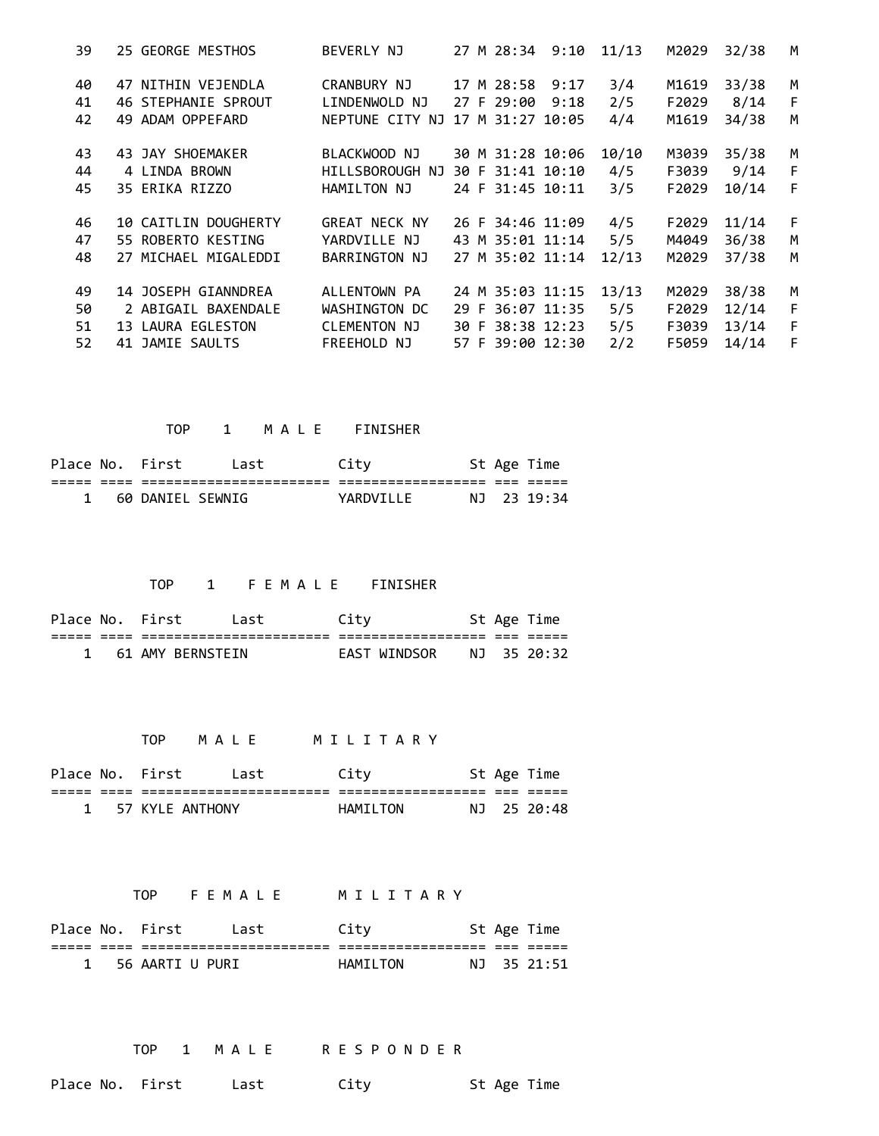| 25 GEORGE MESTHOS           | BEVERLY NJ           |  |      | 11/13                                                                                                                                                                                                                                                                                        | M2029 | 32/38 | M    |
|-----------------------------|----------------------|--|------|----------------------------------------------------------------------------------------------------------------------------------------------------------------------------------------------------------------------------------------------------------------------------------------------|-------|-------|------|
| 47 NITHIN VEJENDLA          | CRANBURY NJ          |  |      | 3/4                                                                                                                                                                                                                                                                                          | M1619 | 33/38 | M    |
| <b>46 STEPHANIE SPROUT</b>  | LINDENWOLD NJ        |  | 9:18 | 2/5                                                                                                                                                                                                                                                                                          | F2029 | 8/14  | F    |
| 49 ADAM OPPEFARD            |                      |  |      | 4/4                                                                                                                                                                                                                                                                                          | M1619 | 34/38 | M    |
| 43 JAY SHOEMAKER            | BLACKWOOD NJ         |  |      | 10/10                                                                                                                                                                                                                                                                                        | M3039 | 35/38 | M    |
| 4 LINDA BROWN               | HILLSBOROUGH NJ      |  |      | 4/5                                                                                                                                                                                                                                                                                          | F3039 |       | F    |
| 35 ERIKA RIZZO              | HAMILTON NJ          |  |      | 3/5                                                                                                                                                                                                                                                                                          | F2029 | 10/14 | F    |
| <b>10 CAITLIN DOUGHERTY</b> | <b>GREAT NECK NY</b> |  |      | 4/5                                                                                                                                                                                                                                                                                          | F2029 | 11/14 | F    |
| 55 ROBERTO KESTING          | YARDVILLE NJ         |  |      | 5/5                                                                                                                                                                                                                                                                                          | M4049 | 36/38 | M    |
| 27 MICHAEL MIGALEDDI        | BARRINGTON NJ        |  |      | 12/13                                                                                                                                                                                                                                                                                        | M2029 | 37/38 | M    |
| 14 JOSEPH GIANNDREA         | ALLENTOWN PA         |  |      | 13/13                                                                                                                                                                                                                                                                                        | M2029 | 38/38 | M    |
| 2 ABIGAIL BAXENDALE         | WASHINGTON DC        |  |      | 5/5                                                                                                                                                                                                                                                                                          | F2029 | 12/14 | F    |
| 13 LAURA EGLESTON           | CLEMENTON NJ         |  |      | 5/5                                                                                                                                                                                                                                                                                          | F3039 | 13/14 | F    |
| 41 JAMIE SAULTS             | <b>FREEHOLD NJ</b>   |  |      | 2/2                                                                                                                                                                                                                                                                                          | F5059 | 14/14 | F    |
|                             |                      |  |      | 27 M 28:34 9:10<br>17 M 28:58 9:17<br>27 F 29:00<br>NEPTUNE CITY NJ 17 M 31:27 10:05<br>30 M 31:28 10:06<br>30 F 31:41 10:10<br>24 F 31:45 10:11<br>26 F 34:46 11:09<br>43 M 35:01 11:14<br>27 M 35:02 11:14<br>24 M 35:03 11:15<br>29 F 36:07 11:35<br>30 F 38:38 12:23<br>57 F 39:00 12:30 |       |       | 9/14 |

TOP 1 M A L E FINISHER

|     |     | Place No. First  | Last           | Citv             |     | St Age Time |
|-----|-----|------------------|----------------|------------------|-----|-------------|
| ___ | ___ |                  | ______________ | ---------------- | ___ | ____        |
|     |     | 60 DANIEL SEWNIG |                | YARDVTLE         |     | NJ 23 19:34 |

## TOP 1 F E M A L E FINISHER

| Place No. First |  | Last             | Citv |                  |     | St Age Time |
|-----------------|--|------------------|------|------------------|-----|-------------|
|                 |  |                  |      | ---------------- | ___ |             |
|                 |  | 61 AMY BERNSTEIN |      | EAST WINDSOR     |     | NJ 3520:32  |

TOP M A L E M I L I T A R Y

|     |      | Place No. First | Last                 | Citv              |            | St Age Time |
|-----|------|-----------------|----------------------|-------------------|------------|-------------|
| ___ | ____ |                 | -------------------- | ----------------- | ---<br>___ |             |
|     |      | 57 KYLF ANTHONY |                      | HAMTI TON         |            | NJ 2520:48  |

TOP FEMALE MILITARY

|  | Place No. First | Last                 | Citv             |            | St Age Time |
|--|-----------------|----------------------|------------------|------------|-------------|
|  |                 | -------------------- | ---------------- | ---<br>___ | ____        |
|  | 56 AARTI U PURI |                      | HAMILTON         |            | NJ 35 21:51 |

TOP 1 MALE RESPONDER

Place No. First Last City St Age Time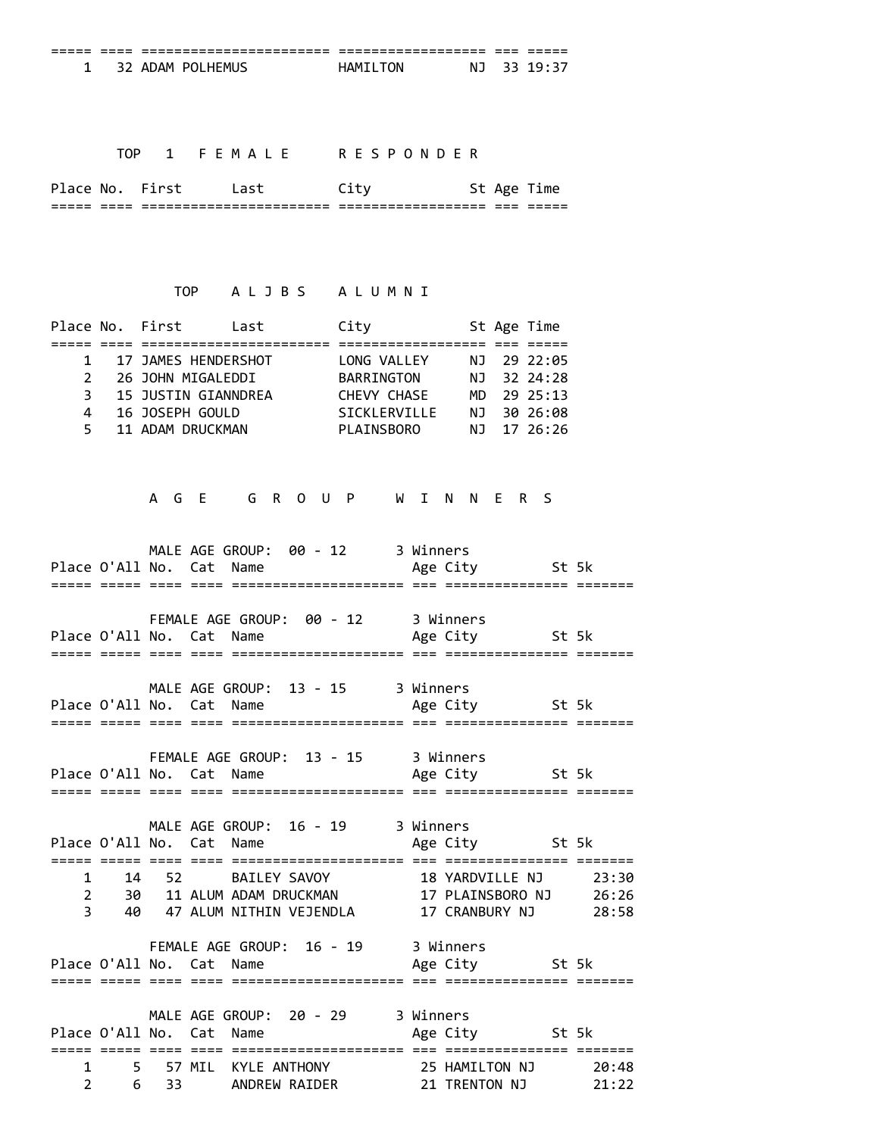## TOP 1 FEMALE RESPONDER

| --<br>-----  | --<br>---- | ------------------------<br>_______________________ | -------------------<br>__________________ | ----<br>---- | ----<br>--<br>------ |
|--------------|------------|-----------------------------------------------------|-------------------------------------------|--------------|----------------------|
| <b>Place</b> | <b>NC</b>  |                                                     |                                           |              |                      |

## TOP ALJBS ALUMNI

|    | Place No. First | Last                  | City                |  | St Age Time |
|----|-----------------|-----------------------|---------------------|--|-------------|
|    |                 |                       |                     |  |             |
|    |                 | 1 17 JAMES HENDERSHOT | LONG VALLEY         |  | NJ 29 22:05 |
|    |                 | 2 26 JOHN MIGALEDDI   | <b>BARRINGTON</b>   |  | NJ 32 24:28 |
|    |                 | 3 15 JUSTIN GIANNDREA | CHEVY CHASE         |  | MD 29 25:13 |
| 4  |                 | 16 JOSEPH GOULD       | <b>SICKLERVILLE</b> |  | NJ 30 26:08 |
| 5. |                 | 11 ADAM DRUCKMAN      | PLAINSBORO          |  | NJ 17 26:26 |
|    |                 |                       |                     |  |             |

A G E G R O U P W I N N E R S

MALE AGE GROUP: 00 - 12 3 Winners Place O'All No. Cat Name Age City St 5k ===== ===== ==== ==== ===================== === =============== ======= FEMALE AGE GROUP: 00 - 12 3 Winners Place O'All No. Cat Name Age City St 5k ===== ===== ==== ==== ===================== === =============== ======= MALE AGE GROUP: 13 - 15 3 Winners Place O'All No. Cat Name Age City St 5k ===== ===== ==== ==== ===================== === =============== ======= FEMALE AGE GROUP: 13 ‐ 15 3 Winners Place O'All No. Cat Name ===== ===== ==== ==== ===================== === =============== ======= MALE AGE GROUP: 16 ‐ 19 3 Winners Place O'All No. Cat Name ===== ===== ==== ==== ===================== === =============== ======= 1 14 52 BAILEY SAVOY 18 YARDVILLE NJ 23:30 2 30 11 ALUM ADAM DRUCKMAN 17 PLAINSBORO NJ 26:26 3 40 47 ALUM NITHIN VEJENDLA 17 CRANBURY NJ 28:58 FEMALE AGE GROUP: 16 - 19 3 Winners<br>No. Cat Name Age City St 5k Place O'All No. Cat Name ===== ===== ==== ==== ===================== === =============== ======= MALE AGE GROUP: 20 - 29 3 Winners Place O'All No. Cat Name Age City St 5k ===== ===== ==== ==== ===================== === =============== ======= 1 5 57 MIL KYLE ANTHONY 25 HAMILTON NJ 20:48 2 6 33 ANDREW RAIDER 21 TRENTON NJ 21:22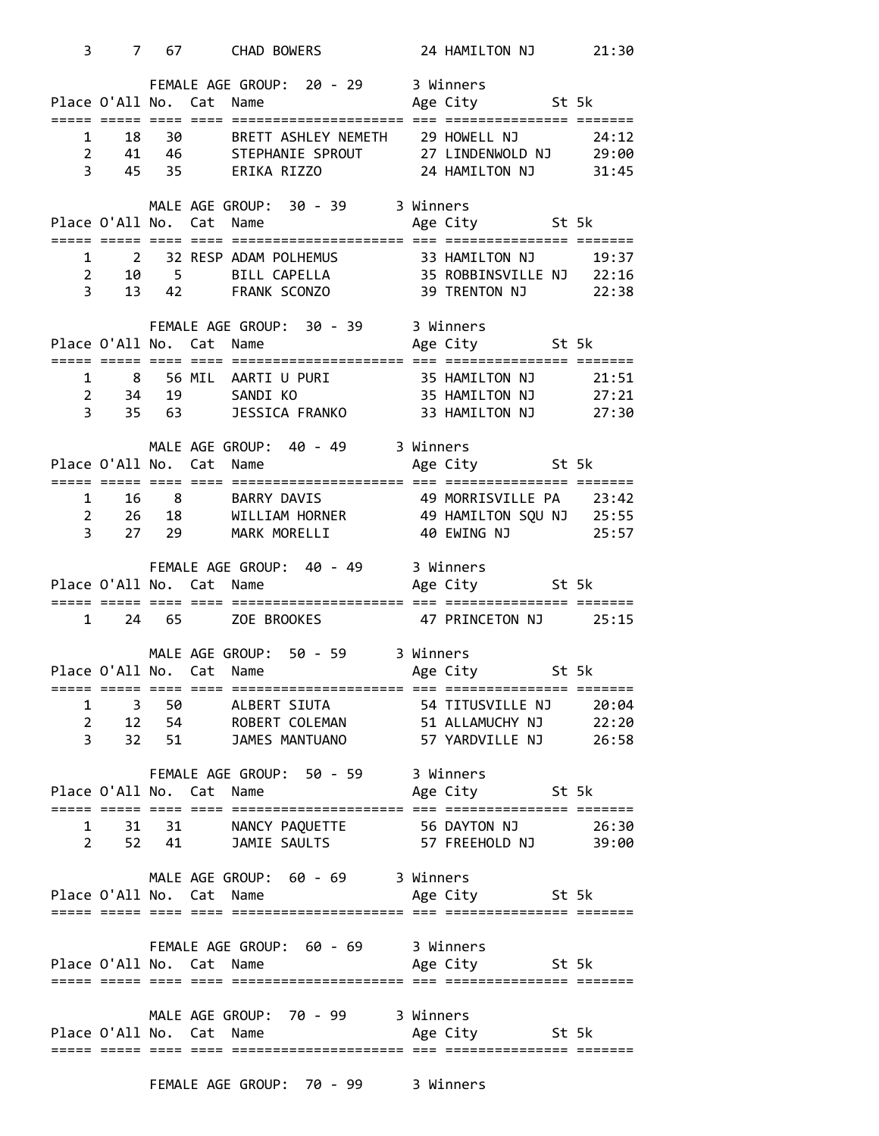| 3            |                                  |    | 7 67 CHAD BOWERS 24 HAMILTON NJ 21:30                                                                                                                                                                                         |  |                |       |
|--------------|----------------------------------|----|-------------------------------------------------------------------------------------------------------------------------------------------------------------------------------------------------------------------------------|--|----------------|-------|
|              |                                  |    | FEMALE AGE GROUP: 20 - 29 3 Winners<br>Place O'All No. Cat Name Manuel Age City St 5k                                                                                                                                         |  |                |       |
| 1            | 18<br>$2^{\circ}$<br>$3^{\circ}$ | 30 | BRETT ASHLEY NEMETH 29 HOWELL NJ<br>41  46  STEPHANIE SPROUT  27 LINDENWOLD NJ  29:00<br>45  35  ERIKA RIZZO  24 HAMILTON NJ  31:45<br>45 35 ERIKA RIZZO                                                                      |  |                | 24:12 |
|              |                                  |    | MALE AGE GROUP: 30 - 39 3 Winners                                                                                                                                                                                             |  |                |       |
| 1            | $2^{\sim}$<br>$3^{\circ}$        |    |                                                                                                                                                                                                                               |  |                |       |
|              |                                  |    | FEMALE AGE GROUP: 30 - 39 3 Winners<br>s winners משת באראו וא בית השתונות ו Age City<br>Place O'All No. Cat Name Age City<br>---- ----                                                                                        |  |                |       |
|              |                                  |    |                                                                                                                                                                                                                               |  |                |       |
|              |                                  |    | 1 8 56 MIL AARTIUPURI 35 HAMILTON NJ 21:51<br>2 34 19 SANDIKO 35 HAMILTON NJ 27:21<br>3 35 63 JESSICA FRANKO 33 HAMILTON NJ 27:30                                                                                             |  |                |       |
|              |                                  |    |                                                                                                                                                                                                                               |  |                |       |
|              |                                  |    | MALE AGE GROUP: 40 - 49 3 Winners                                                                                                                                                                                             |  |                |       |
|              |                                  |    |                                                                                                                                                                                                                               |  |                |       |
| $\mathbf{1}$ |                                  |    |                                                                                                                                                                                                                               |  |                |       |
|              | $2^{\circ}$                      |    | 16 8 BARRY DAVIS 49 MORRISVILLE PA 23:42<br>26 18 WILLIAM HORNER 49 HAMILTON SQU NJ 25:55<br>27 29 MARK MORELLI 40 EWING NJ 25:57                                                                                             |  |                |       |
|              | $3^{\circ}$                      |    |                                                                                                                                                                                                                               |  |                |       |
|              |                                  |    |                                                                                                                                                                                                                               |  |                |       |
|              |                                  |    | FEMALE AGE GROUP: 40 - 49 3 Winners                                                                                                                                                                                           |  |                |       |
|              |                                  |    |                                                                                                                                                                                                                               |  |                |       |
| $\mathbf{1}$ |                                  |    | 24 65 ZOE BROOKES 47 PRINCETON NJ 25:15                                                                                                                                                                                       |  |                |       |
|              |                                  |    | MALE AGE GROUP: 50 - 59 3 Winners                                                                                                                                                                                             |  |                |       |
|              |                                  |    |                                                                                                                                                                                                                               |  |                |       |
|              |                                  |    | Sunners and the control of the control of the control of the control of the control of the control of the control of the control of the control of the control of the control of the control of the control of the control of |  |                |       |
| $\mathbf{1}$ |                                  |    | 2 12 54 ROBERT COLEMAN 51 ALLAMUCHY NJ 22:20                                                                                                                                                                                  |  |                |       |
|              | $3^{\circ}$                      |    | 32 51 JAMES MANTUANO 57 YARDVILLE NJ 26:58                                                                                                                                                                                    |  |                |       |
|              |                                  |    | FEMALE AGE GROUP: 50 - 59 3 Winners                                                                                                                                                                                           |  |                |       |
|              |                                  |    | Place O'All No. Cat Name Manne Age City St 5k                                                                                                                                                                                 |  |                |       |
|              |                                  |    |                                                                                                                                                                                                                               |  |                |       |
|              |                                  |    | 1 31 31 NANCY PAQUETTE 56 DAYTON NJ 26:30<br>2 52 41 JAMIE SAULTS 57 FREEHOLD NJ 39:00                                                                                                                                        |  |                |       |
|              |                                  |    | MALE AGE GROUP: 60 - 69 3 Winners                                                                                                                                                                                             |  |                |       |
|              |                                  |    | Place O'All No. Cat Name                                                                                                                                                                                                      |  | Age City 5t 5k |       |
|              |                                  |    |                                                                                                                                                                                                                               |  |                |       |
|              |                                  |    | FEMALE AGE GROUP: 60 - 69 3 Winners                                                                                                                                                                                           |  |                |       |
|              |                                  |    | Place O'All No. Cat Name                                                                                                                                                                                                      |  | Age City 5t 5k |       |
|              |                                  |    |                                                                                                                                                                                                                               |  |                |       |
|              |                                  |    | MALE AGE GROUP: 70 - 99 3 Winners                                                                                                                                                                                             |  |                |       |
|              |                                  |    | Place O'All No. Cat Name                                                                                                                                                                                                      |  | Age City 5t 5k |       |

FEMALE AGE GROUP: 70 - 99 3 Winners